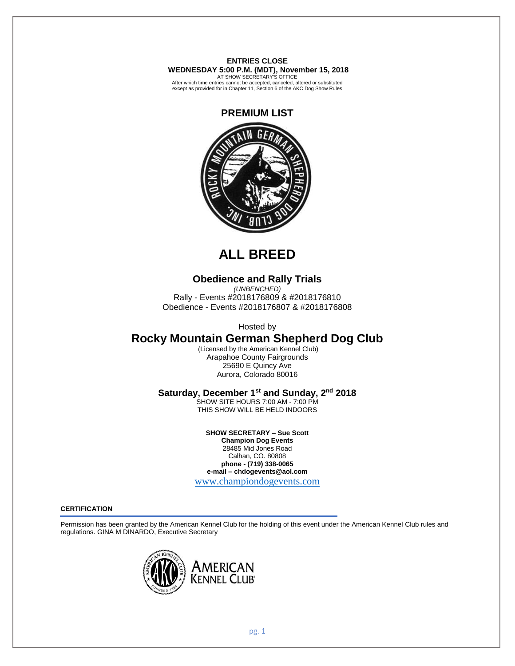**ENTRIES CLOSE WEDNESDAY 5:00 P.M. (MDT), November 15, 2018** 

AT SHOW SECRETARY'S OFFICE After which time entries cannot be accepted, canceled, altered or substituted except as provided for in Chapter 11, Section 6 of the AKC Dog Show Rules



# **ALL BREED**

# **Obedience and Rally Trials**

*(UNBENCHED)* Rally - Events #2018176809 & #2018176810 Obedience - Events #2018176807 & #2018176808

Hosted by

# **Rocky Mountain German Shepherd Dog Club**

(Licensed by the American Kennel Club) Arapahoe County Fairgrounds 25690 E Quincy Ave Aurora, Colorado 80016

# Saturday, December 1<sup>st</sup> and Sunday, 2<sup>nd</sup> 2018

SHOW SITE HOURS 7:00 AM - 7:00 PM THIS SHOW WILL BE HELD INDOORS

**SHOW SECRETARY – Sue Scott Champion Dog Events** 28485 Mid Jones Road Calhan, CO. 80808 **phone - (719) 338-0065 e-mail – chdogevents@aol.com**

[www.championdogevents.com](http://www.championdogevents.com/)

## **CERTIFICATION**

Permission has been granted by the American Kennel Club for the holding of this event under the American Kennel Club rules and regulations. GINA M DINARDO, Executive Secretary

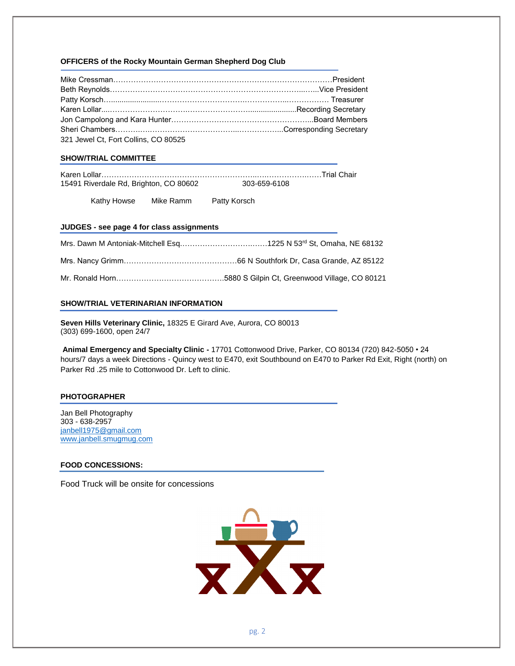## **OFFICERS of the Rocky Mountain German Shepherd Dog Club**

| 321 Jewel Ct. Fort Collins, CO 80525 |  |
|--------------------------------------|--|

## **SHOW/TRIAL COMMITTEE**

| 15491 Riverdale Rd, Brighton, CO 80602 | 303-659-6108 |
|----------------------------------------|--------------|

Kathy Howse Mike Ramm Patty Korsch

#### **JUDGES - see page 4 for class assignments**

| Mrs. Dawn M Antoniak-Mitchell Esq1225 N 53rd St, Omaha, NE 68132 |
|------------------------------------------------------------------|
|                                                                  |
|                                                                  |

## **SHOW/TRIAL VETERINARIAN INFORMATION**

**Seven Hills Veterinary Clinic,** 18325 E Girard Ave, Aurora, CO 80013 (303) 699-1600, open 24/7

**Animal Emergency and Specialty Clinic -** 17701 Cottonwood Drive, Parker, CO 80134 (720) 842-5050 • 24 hours/7 days a week Directions - Quincy west to E470, exit Southbound on E470 to Parker Rd Exit, Right (north) on Parker Rd .25 mile to Cottonwood Dr. Left to clinic.

#### **PHOTOGRAPHER**

Jan Bell Photography 303 - 638-2957 [janbell1975@gmail.com](mailto:janbell1975@gmail.com) [www.janbell.smugmug.com](http://www.janbell.smugmug.com/)

#### **FOOD CONCESSIONS:**

Food Truck will be onsite for concessions

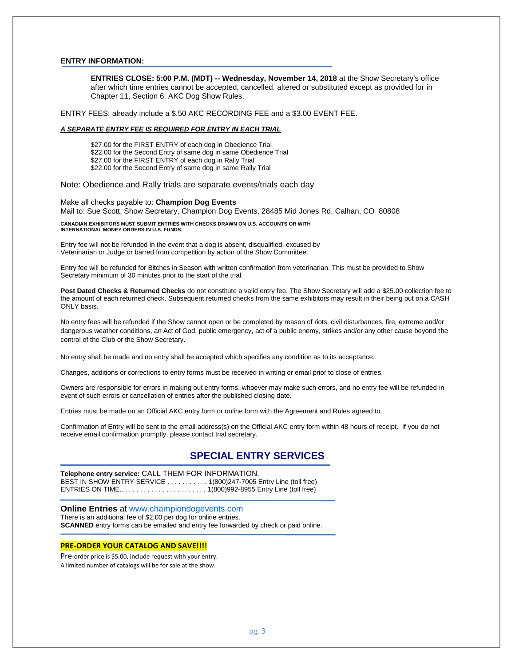#### **ENTRY INFORMATION:**

**ENTRIES CLOSE: 5:00 P.M. (MDT) -- Wednesday, November 14, 2018** at the Show Secretary's office after which time entries cannot be accepted, cancelled, altered or substituted except as provided for in Chapter 11, Section 6, AKC Dog Show Rules.

ENTRY FEES: already include a \$.50 AKC RECORDING FEE and a \$3.00 EVENT FEE.

#### *A SEPARATE ENTRY FEE IS REQUIRED FOR ENTRY IN EACH TRIAL*

\$27.00 for the FIRST ENTRY of each dog in Obedience Trial \$22.00 for the Second Entry of same dog in same Obedience Trial \$27.00 for the FIRST ENTRY of each dog in Rally Trial \$22.00 for the Second Entry of same dog in same Rally Trial

Note: Obedience and Rally trials are separate events/trials each day

Make all checks payable to: **Champion Dog Events** Mail to: Sue Scott, Show Secretary, Champion Dog Events, 28485 Mid Jones Rd, Calhan, CO 80808

**CANADIAN EXHIBITORS MUST SUBMIT ENTRIES WITH CHECKS DRAWN ON U.S. ACCOUNTS OR WITH INTERNATIONAL MONEY ORDERS IN U.S. FUNDS.**

Entry fee will not be refunded in the event that a dog is absent, disqualified, excused by Veterinarian or Judge or barred from competition by action of the Show Committee.

Entry fee will be refunded for Bitches in Season with written confirmation from veterinarian. This must be provided to Show Secretary minimum of 30 minutes prior to the start of the trial.

Post Dated Checks & Returned Checks do not constitute a valid entry fee. The Show Secretary will add a \$25.00 collection fee to the amount of each returned check. Subsequent returned checks from the same exhibitors may result in their being put on a CASH ONLY basis.

No entry fees will be refunded if the Show cannot open or be completed by reason of riots, civil disturbances, fire, extreme and/or dangerous weather conditions, an Act of God, public emergency, act of a public enemy, strikes and/or any other cause beyond the control of the Club or the Show Secretary.

No entry shall be made and no entry shall be accepted which specifies any condition as to its acceptance.

Changes, additions or corrections to entry forms must be received in writing or email prior to close of entries.

Owners are responsible for errors in making out entry forms, whoever may make such errors, and no entry fee will be refunded in event of such errors or cancellation of entries after the published closing date.

Entries must be made on an Official AKC entry form or online form with the Agreement and Rules agreed to.

Confirmation of Entry will be sent to the email address(s) on the Official AKC entry form within 48 hours of receipt. If you do not receive email confirmation promptly, please contact trial secretary.

# **SPECIAL ENTRY SERVICES**

**Telephone entry service:** CALL THEM FOR INFORMATION. BEST IN SHOW ENTRY SERVICE . . . . . . . . . . 1(800)247-7005 Entry Line (toll free) ENTRIES ON TIME.. . . . . . . . . . . . . . . . . . . . . . . 1(800)992-8955 Entry Line (toll free)

**Online Entries** at [www.championdogevents.com](http://www.championdogevents.com/) There is an additional fee of \$2.00 per dog for online entries. **SCANNED** entry forms can be emailed and entry fee forwarded by check or paid online.

#### **PRE-ORDER YOUR CATALOG AND SAVE!!!!**

Pre-order price is \$5.00, include request with your entry. A limited number of catalogs will be for sale at the show.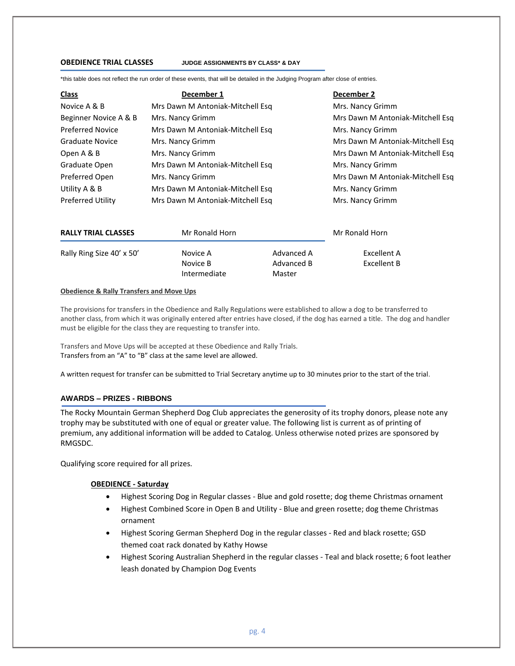#### **OBEDIENCE TRIAL CLASSES JUDGE ASSIGNMENTS BY CLASS\* & DAY**

\*this table does not reflect the run order of these events, that will be detailed in the Judging Program after close of entries.

| <b>Class</b>               | December 1                       | December 2                       |
|----------------------------|----------------------------------|----------------------------------|
| Novice A & B               | Mrs Dawn M Antoniak-Mitchell Esq | Mrs. Nancy Grimm                 |
| Beginner Novice A & B      | Mrs. Nancy Grimm                 | Mrs Dawn M Antoniak-Mitchell Esq |
| <b>Preferred Novice</b>    | Mrs Dawn M Antoniak-Mitchell Esg | Mrs. Nancy Grimm                 |
| <b>Graduate Novice</b>     | Mrs. Nancy Grimm                 | Mrs Dawn M Antoniak-Mitchell Esg |
| Open A & B                 | Mrs. Nancy Grimm                 | Mrs Dawn M Antoniak-Mitchell Esg |
| Graduate Open              | Mrs Dawn M Antoniak-Mitchell Esg | Mrs. Nancy Grimm                 |
| Preferred Open             | Mrs. Nancy Grimm                 | Mrs Dawn M Antoniak-Mitchell Esg |
| Utility A & B              | Mrs Dawn M Antoniak-Mitchell Esq | Mrs. Nancy Grimm                 |
| <b>Preferred Utility</b>   | Mrs Dawn M Antoniak-Mitchell Esg | Mrs. Nancy Grimm                 |
| <b>RALLY TRIAL CLASSES</b> | Mr Ronald Horn                   | Mr Ronald Horn                   |
|                            |                                  |                                  |

Rally Ring Size 40' x 50' Novice A Advanced A Excellent A Novice B Advanced B Excellent B Intermediate Master

#### **Obedience & Rally Transfers and Move Ups**

The provisions for transfers in the Obedience and Rally Regulations were established to allow a dog to be transferred to another class, from which it was originally entered after entries have closed, if the dog has earned a title. The dog and handler must be eligible for the class they are requesting to transfer into.

Transfers and Move Ups will be accepted at these Obedience and Rally Trials. Transfers from an "A" to "B" class at the same level are allowed.

A written request for transfer can be submitted to Trial Secretary anytime up to 30 minutes prior to the start of the trial.

## **AWARDS – PRIZES - RIBBONS**

The Rocky Mountain German Shepherd Dog Club appreciates the generosity of its trophy donors, please note any trophy may be substituted with one of equal or greater value. The following list is current as of printing of premium, any additional information will be added to Catalog. Unless otherwise noted prizes are sponsored by RMGSDC.

Qualifying score required for all prizes.

#### **OBEDIENCE - Saturday**

- Highest Scoring Dog in Regular classes Blue and gold rosette; dog theme Christmas ornament
- Highest Combined Score in Open B and Utility Blue and green rosette; dog theme Christmas ornament
- Highest Scoring German Shepherd Dog in the regular classes Red and black rosette; GSD themed coat rack donated by Kathy Howse
- Highest Scoring Australian Shepherd in the regular classes Teal and black rosette; 6 foot leather leash donated by Champion Dog Events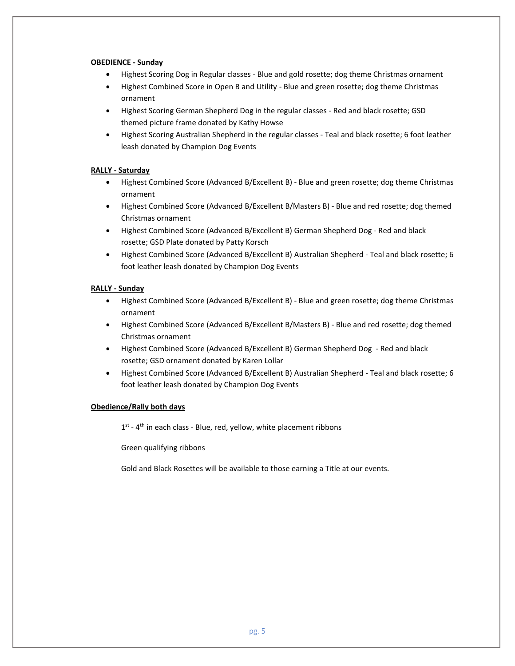## **OBEDIENCE - Sunday**

- Highest Scoring Dog in Regular classes Blue and gold rosette; dog theme Christmas ornament
- Highest Combined Score in Open B and Utility Blue and green rosette; dog theme Christmas ornament
- Highest Scoring German Shepherd Dog in the regular classes Red and black rosette; GSD themed picture frame donated by Kathy Howse
- Highest Scoring Australian Shepherd in the regular classes Teal and black rosette; 6 foot leather leash donated by Champion Dog Events

## **RALLY - Saturday**

- Highest Combined Score (Advanced B/Excellent B) Blue and green rosette; dog theme Christmas ornament
- Highest Combined Score (Advanced B/Excellent B/Masters B) Blue and red rosette; dog themed Christmas ornament
- Highest Combined Score (Advanced B/Excellent B) German Shepherd Dog Red and black rosette; GSD Plate donated by Patty Korsch
- Highest Combined Score (Advanced B/Excellent B) Australian Shepherd Teal and black rosette; 6 foot leather leash donated by Champion Dog Events

## **RALLY - Sunday**

- Highest Combined Score (Advanced B/Excellent B) Blue and green rosette; dog theme Christmas ornament
- Highest Combined Score (Advanced B/Excellent B/Masters B) Blue and red rosette; dog themed Christmas ornament
- Highest Combined Score (Advanced B/Excellent B) German Shepherd Dog Red and black rosette; GSD ornament donated by Karen Lollar
- Highest Combined Score (Advanced B/Excellent B) Australian Shepherd Teal and black rosette; 6 foot leather leash donated by Champion Dog Events

## **Obedience/Rally both days**

 $1<sup>st</sup>$  - 4<sup>th</sup> in each class - Blue, red, yellow, white placement ribbons

Green qualifying ribbons

Gold and Black Rosettes will be available to those earning a Title at our events.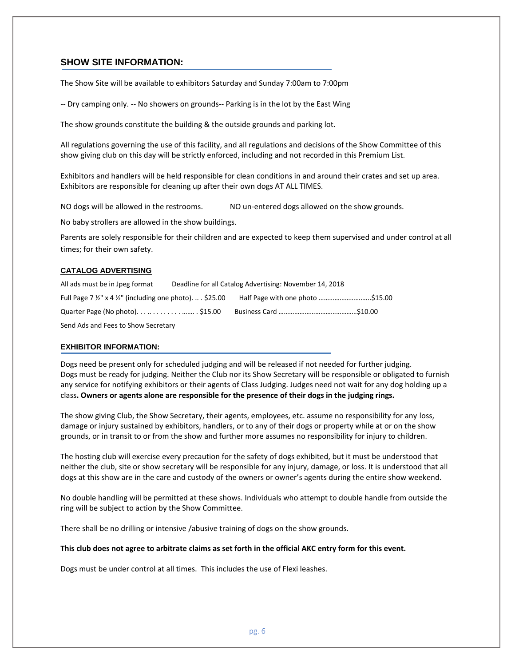# **SHOW SITE INFORMATION:**

The Show Site will be available to exhibitors Saturday and Sunday 7:00am to 7:00pm

-- Dry camping only. -- No showers on grounds-- Parking is in the lot by the East Wing

The show grounds constitute the building & the outside grounds and parking lot.

All regulations governing the use of this facility, and all regulations and decisions of the Show Committee of this show giving club on this day will be strictly enforced, including and not recorded in this Premium List.

Exhibitors and handlers will be held responsible for clean conditions in and around their crates and set up area. Exhibitors are responsible for cleaning up after their own dogs AT ALL TIMES.

NO dogs will be allowed in the restrooms. NO un-entered dogs allowed on the show grounds.

No baby strollers are allowed in the show buildings.

Parents are solely responsible for their children and are expected to keep them supervised and under control at all times; for their own safety.

# **CATALOG ADVERTISING**

| All ads must be in Jpeg format                                                | Deadline for all Catalog Advertising: November 14, 2018 |  |
|-------------------------------------------------------------------------------|---------------------------------------------------------|--|
| Full Page 7 $\frac{1}{2}$ " x 4 $\frac{1}{2}$ " (including one photo) \$25.00 |                                                         |  |
|                                                                               |                                                         |  |
|                                                                               |                                                         |  |

Send Ads and Fees to Show Secretary

#### **EXHIBITOR INFORMATION:**

Dogs need be present only for scheduled judging and will be released if not needed for further judging. Dogs must be ready for judging. Neither the Club nor its Show Secretary will be responsible or obligated to furnish any service for notifying exhibitors or their agents of Class Judging. Judges need not wait for any dog holding up a class**. Owners or agents alone are responsible for the presence of their dogs in the judging rings.**

The show giving Club, the Show Secretary, their agents, employees, etc. assume no responsibility for any loss, damage or injury sustained by exhibitors, handlers, or to any of their dogs or property while at or on the show grounds, or in transit to or from the show and further more assumes no responsibility for injury to children.

The hosting club will exercise every precaution for the safety of dogs exhibited, but it must be understood that neither the club, site or show secretary will be responsible for any injury, damage, or loss. It is understood that all dogs at this show are in the care and custody of the owners or owner's agents during the entire show weekend.

No double handling will be permitted at these shows. Individuals who attempt to double handle from outside the ring will be subject to action by the Show Committee.

There shall be no drilling or intensive /abusive training of dogs on the show grounds.

# **This club does not agree to arbitrate claims as set forth in the official AKC entry form for this event.**

Dogs must be under control at all times. This includes the use of Flexi leashes.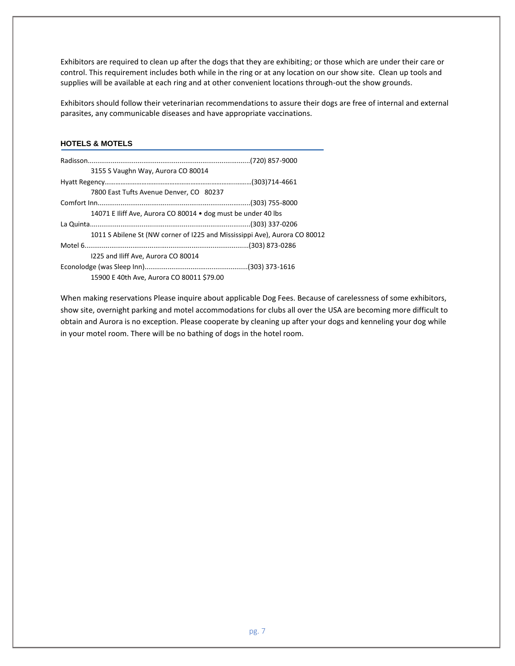Exhibitors are required to clean up after the dogs that they are exhibiting; or those which are under their care or control. This requirement includes both while in the ring or at any location on our show site. Clean up tools and supplies will be available at each ring and at other convenient locations through-out the show grounds.

Exhibitors should follow their veterinarian recommendations to assure their dogs are free of internal and external parasites, any communicable diseases and have appropriate vaccinations.

# **HOTELS & MOTELS**

| 3155 S Vaughn Way, Aurora CO 80014                                         |  |
|----------------------------------------------------------------------------|--|
|                                                                            |  |
| 7800 East Tufts Avenue Denver, CO 80237                                    |  |
|                                                                            |  |
| 14071 E Iliff Ave, Aurora CO 80014 • dog must be under 40 lbs              |  |
|                                                                            |  |
| 1011 S Abilene St (NW corner of 1225 and Mississippi Ave), Aurora CO 80012 |  |
|                                                                            |  |
| 1225 and Iliff Ave, Aurora CO 80014                                        |  |
|                                                                            |  |
| 15900 E 40th Ave, Aurora CO 80011 \$79.00                                  |  |

When making reservations Please inquire about applicable Dog Fees. Because of carelessness of some exhibitors, show site, overnight parking and motel accommodations for clubs all over the USA are becoming more difficult to obtain and Aurora is no exception. Please cooperate by cleaning up after your dogs and kenneling your dog while in your motel room. There will be no bathing of dogs in the hotel room.